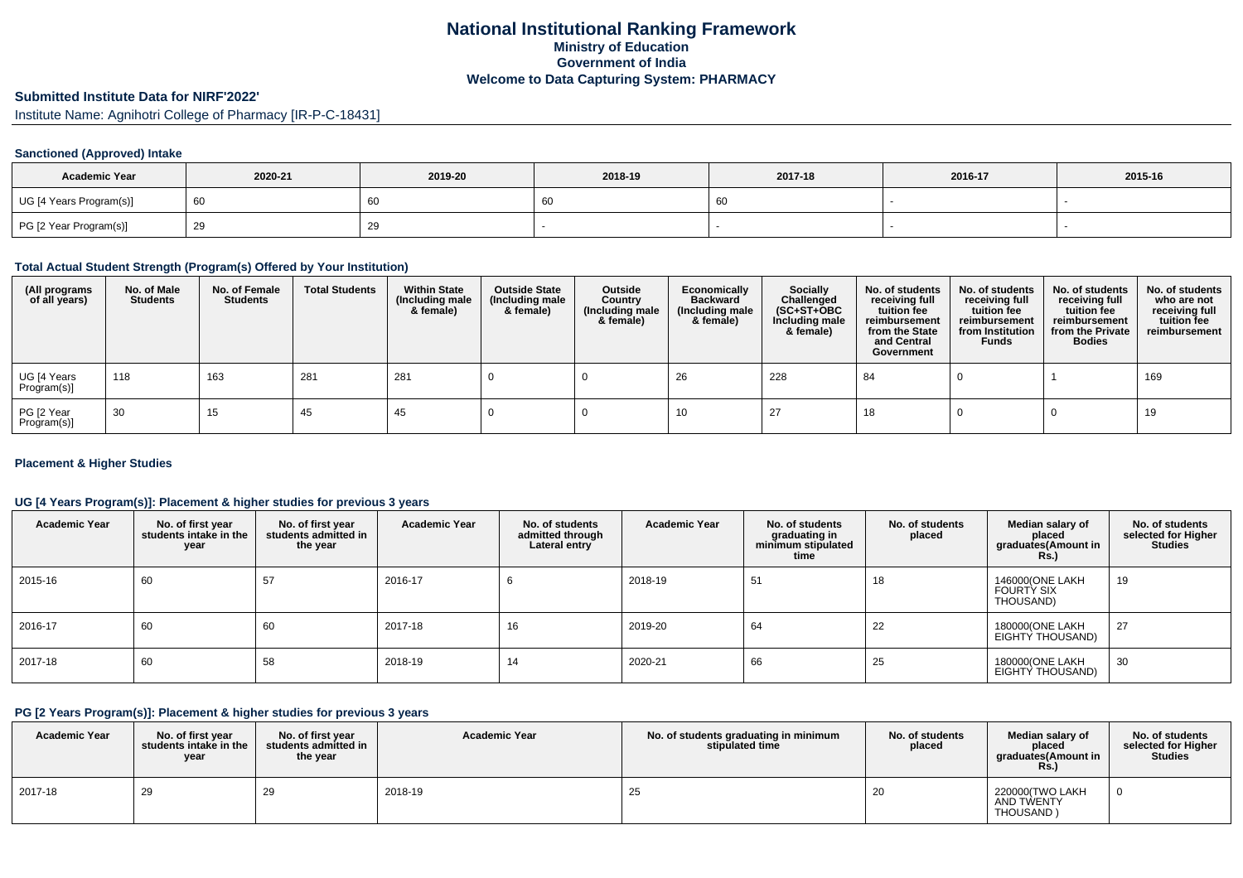# **National Institutional Ranking FrameworkMinistry of Education Government of IndiaWelcome to Data Capturing System: PHARMACY**

# **Submitted Institute Data for NIRF'2022'**

Institute Name: Agnihotri College of Pharmacy [IR-P-C-18431]

### **Sanctioned (Approved) Intake**

| <b>Academic Year</b>    | 2020-21 | 2019-20 | 2018-19 | 2017-18 | 2016-17 | 2015-16 |
|-------------------------|---------|---------|---------|---------|---------|---------|
| UG [4 Years Program(s)] | ' 60    | 60      | 0C      | - 60    |         |         |
| PG [2 Year Program(s)]  |         | 29      |         |         |         |         |

### **Total Actual Student Strength (Program(s) Offered by Your Institution)**

| (All programs<br>of all years) | No. of Male<br><b>Students</b> | No. of Female<br><b>Students</b> | <b>Total Students</b> | <b>Within State</b><br>(Including male<br>& female) | <b>Outside State</b><br>(Including male<br>& female) | Outside<br>Country<br>(Including male<br>& female) | Economically<br><b>Backward</b><br>(Including male<br>& female) | <b>Socially</b><br>Challenged<br>$(SC+ST+OBC)$<br>Including male<br>& female) | No. of students<br>receiving full<br>tuition fee<br>reimbursement<br>from the State<br>and Central<br>Government | No. of students<br>receiving full<br>tuition fee<br>reimbursement<br>from Institution<br><b>Funds</b> | No. of students<br>receiving full<br>tuition fee<br>reimbursement<br>from the Private<br><b>Bodies</b> | No. of students<br>who are not<br>receiving full<br>tuition fee<br>reimbursement |
|--------------------------------|--------------------------------|----------------------------------|-----------------------|-----------------------------------------------------|------------------------------------------------------|----------------------------------------------------|-----------------------------------------------------------------|-------------------------------------------------------------------------------|------------------------------------------------------------------------------------------------------------------|-------------------------------------------------------------------------------------------------------|--------------------------------------------------------------------------------------------------------|----------------------------------------------------------------------------------|
| UG [4 Years<br>  Program(s)]   | 118                            | 163                              | 281                   | 281                                                 |                                                      |                                                    | 26                                                              | 228                                                                           | 84                                                                                                               |                                                                                                       |                                                                                                        | 169                                                                              |
| PG [2 Year<br>Program(s)]      | 30                             | 15                               | 45                    | 45                                                  |                                                      |                                                    | 10                                                              | -27                                                                           | 18                                                                                                               |                                                                                                       |                                                                                                        | 19                                                                               |

### **Placement & Higher Studies**

### **UG [4 Years Program(s)]: Placement & higher studies for previous 3 years**

| <b>Academic Year</b> | No. of first year<br>students intake in the<br>year | No. of first vear<br>students admitted in<br>the year | <b>Academic Year</b> | No. of students<br>admitted through<br>Lateral entry | <b>Academic Year</b> | No. of students<br>graduating in<br>minimum stipulated<br>time | No. of students<br>placed | Median salary of<br>placed<br>graduates(Amount in<br><b>Rs.)</b> | No. of students<br>selected for Higher<br><b>Studies</b> |
|----------------------|-----------------------------------------------------|-------------------------------------------------------|----------------------|------------------------------------------------------|----------------------|----------------------------------------------------------------|---------------------------|------------------------------------------------------------------|----------------------------------------------------------|
| 2015-16              | 60                                                  | 57                                                    | 2016-17              |                                                      | 2018-19              | 51                                                             | 18                        | 146000(ONE LAKH<br><b>FOURTY SIX</b><br>THOUSAND)                | 19                                                       |
| 2016-17              | 60                                                  | 60                                                    | 2017-18              | 16                                                   | 2019-20              | 64                                                             | 22                        | 180000(ONE LAKH<br>EIGHTY THOUSAND)                              | 27                                                       |
| 2017-18              | 60                                                  | 58                                                    | 2018-19              |                                                      | 2020-21              | 66                                                             | 25                        | 180000(ONE LAKH<br>EIGHTY THOUSAND)                              | 30                                                       |

### **PG [2 Years Program(s)]: Placement & higher studies for previous 3 years**

| <b>Academic Year</b> | No. of first vear<br>students intake in the<br>year | No. of first year<br>students admitted in<br>the year | <b>Academic Year</b> | No. of students graduating in minimum<br>stipulated time | No. of students<br>placed | Median salary of<br>placed<br>graduates(Amount in<br>Rs. | No. of students<br>selected for Higher<br><b>Studies</b> |
|----------------------|-----------------------------------------------------|-------------------------------------------------------|----------------------|----------------------------------------------------------|---------------------------|----------------------------------------------------------|----------------------------------------------------------|
| 2017-18              | 29                                                  | 29                                                    | 2018-19              | 25                                                       | -20                       | 220000(TWO LAKH<br>AND TWENTY<br>THOUSAND)               |                                                          |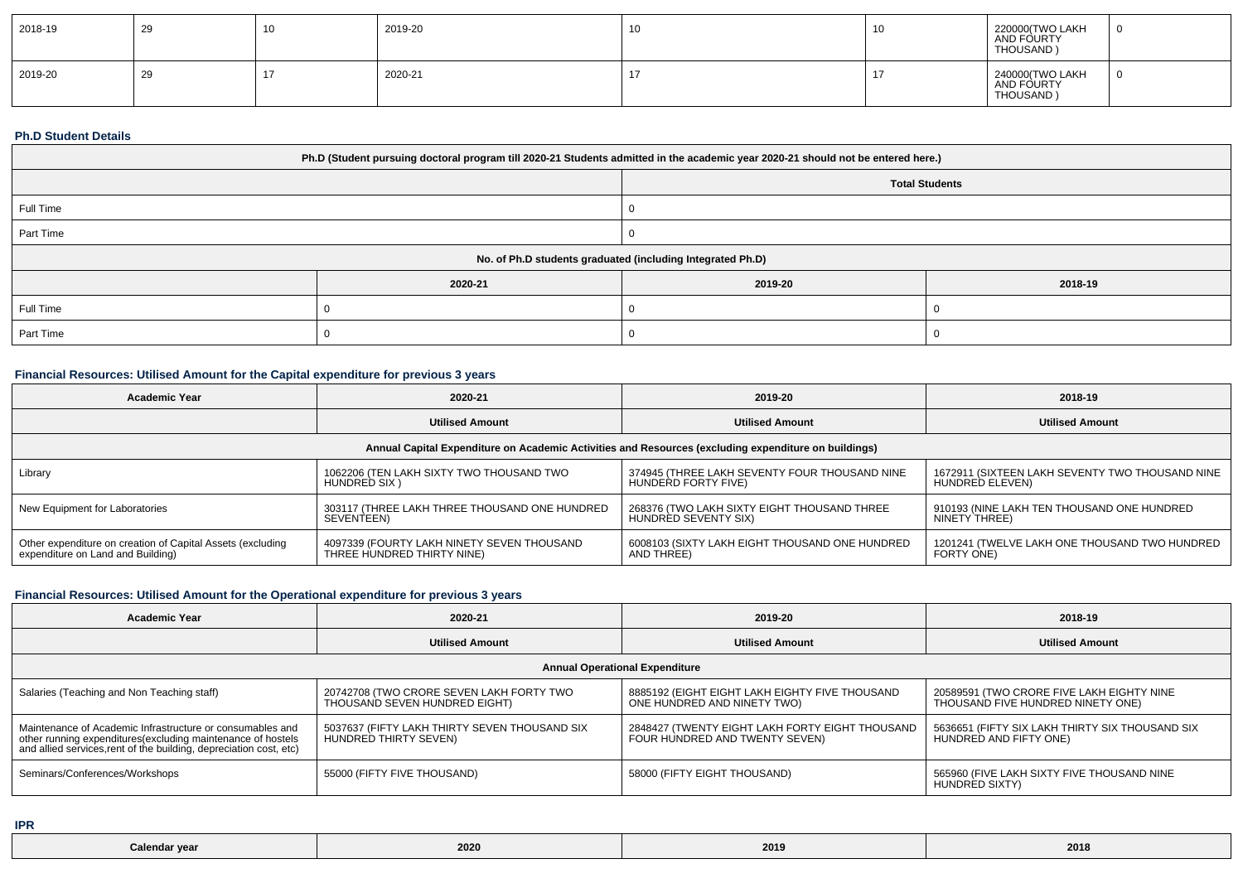| 2018-19 | 29 | 10 | 2019-20 | 10 | . J | 220000(TWO LAKH<br>AND FOURTY<br>THOUSAND) | - C |
|---------|----|----|---------|----|-----|--------------------------------------------|-----|
| 2019-20 | 29 |    | 2020-21 |    |     | 240000(TWO LAKH<br>AND FOURTY<br>THOUSAND) | - 0 |

#### **Ph.D Student Details**

| Ph.D (Student pursuing doctoral program till 2020-21 Students admitted in the academic year 2020-21 should not be entered here.) |                                                            |         |         |  |  |  |
|----------------------------------------------------------------------------------------------------------------------------------|------------------------------------------------------------|---------|---------|--|--|--|
| <b>Total Students</b>                                                                                                            |                                                            |         |         |  |  |  |
| Full Time                                                                                                                        |                                                            |         |         |  |  |  |
| Part Time                                                                                                                        |                                                            |         |         |  |  |  |
|                                                                                                                                  | No. of Ph.D students graduated (including Integrated Ph.D) |         |         |  |  |  |
|                                                                                                                                  | 2020-21                                                    | 2019-20 | 2018-19 |  |  |  |
| Full Time                                                                                                                        |                                                            |         |         |  |  |  |
| Part Time                                                                                                                        |                                                            |         |         |  |  |  |

## **Financial Resources: Utilised Amount for the Capital expenditure for previous 3 years**

| Academic Year                                                                                        | 2020-21                                       | 2019-20                                        | 2018-19                                         |  |  |  |  |  |
|------------------------------------------------------------------------------------------------------|-----------------------------------------------|------------------------------------------------|-------------------------------------------------|--|--|--|--|--|
|                                                                                                      | <b>Utilised Amount</b>                        | <b>Utilised Amount</b>                         | <b>Utilised Amount</b>                          |  |  |  |  |  |
| Annual Capital Expenditure on Academic Activities and Resources (excluding expenditure on buildings) |                                               |                                                |                                                 |  |  |  |  |  |
| Library                                                                                              | 1062206 (TEN LAKH SIXTY TWO THOUSAND TWO      | 374945 (THREE LAKH SEVENTY FOUR THOUSAND NINE  | 1672911 (SIXTEEN LAKH SEVENTY TWO THOUSAND NINE |  |  |  |  |  |
|                                                                                                      | HUNDRED SIX)                                  | HUNDERD FORTY FIVE)                            | HUNDRED ELEVEN)                                 |  |  |  |  |  |
| New Equipment for Laboratories                                                                       | 303117 (THREE LAKH THREE THOUSAND ONE HUNDRED | 268376 (TWO LAKH SIXTY EIGHT THOUSAND THREE    | 910193 (NINE LAKH TEN THOUSAND ONE HUNDRED      |  |  |  |  |  |
|                                                                                                      | SEVENTEEN)                                    | HUNDRÉD SEVENTY SIX)                           | NINETY THREE)                                   |  |  |  |  |  |
| Other expenditure on creation of Capital Assets (excluding                                           | 4097339 (FOURTY LAKH NINETY SEVEN THOUSAND    | 6008103 (SIXTY LAKH EIGHT THOUSAND ONE HUNDRED | 1201241 (TWELVE LAKH ONE THOUSAND TWO HUNDRED   |  |  |  |  |  |
| expenditure on Land and Building)                                                                    | THREE HUNDRED THIRTY NINE)                    | AND THREE)                                     | FORTY ONE)                                      |  |  |  |  |  |

# **Financial Resources: Utilised Amount for the Operational expenditure for previous 3 years**

| <b>Academic Year</b>                                                                                                                                                                            | 2020-21                                                                   | 2019-20                                                                           | 2018-19                                                                        |  |  |  |  |  |
|-------------------------------------------------------------------------------------------------------------------------------------------------------------------------------------------------|---------------------------------------------------------------------------|-----------------------------------------------------------------------------------|--------------------------------------------------------------------------------|--|--|--|--|--|
|                                                                                                                                                                                                 | <b>Utilised Amount</b>                                                    | <b>Utilised Amount</b>                                                            | <b>Utilised Amount</b>                                                         |  |  |  |  |  |
| <b>Annual Operational Expenditure</b>                                                                                                                                                           |                                                                           |                                                                                   |                                                                                |  |  |  |  |  |
| Salaries (Teaching and Non Teaching staff)                                                                                                                                                      | 20742708 (TWO CRORE SEVEN LAKH FORTY TWO<br>THOUSAND SEVEN HUNDRED EIGHT) | 8885192 (EIGHT EIGHT LAKH EIGHTY FIVE THOUSAND<br>ONE HUNDRED AND NINETY TWO)     | 20589591 (TWO CRORE FIVE LAKH EIGHTY NINE<br>THOUSAND FIVE HUNDRED NINETY ONE) |  |  |  |  |  |
| Maintenance of Academic Infrastructure or consumables and<br>other running expenditures (excluding maintenance of hostels<br>and allied services, rent of the building, depreciation cost, etc) | 5037637 (FIFTY LAKH THIRTY SEVEN THOUSAND SIX<br>HUNDRED THIRTY SEVEN)    | 2848427 (TWENTY EIGHT LAKH FORTY EIGHT THOUSAND<br>FOUR HUNDRED AND TWENTY SEVEN) | 5636651 (FIFTY SIX LAKH THIRTY SIX THOUSAND SIX<br>HUNDRED AND FIFTY ONE)      |  |  |  |  |  |
| Seminars/Conferences/Workshops                                                                                                                                                                  | 55000 (FIFTY FIVE THOUSAND)                                               | 58000 (FIFTY EIGHT THOUSAND)                                                      | 565960 (FIVE LAKH SIXTY FIVE THOUSAND NINE<br>HUNDRÈD SIXTY)                   |  |  |  |  |  |

**IPR**

| 2020<br>$     -$<br>Colendar<br>$\sim$ ur $\sim$ | 2019<br>$ -$ | 2018 |
|--------------------------------------------------|--------------|------|
|--------------------------------------------------|--------------|------|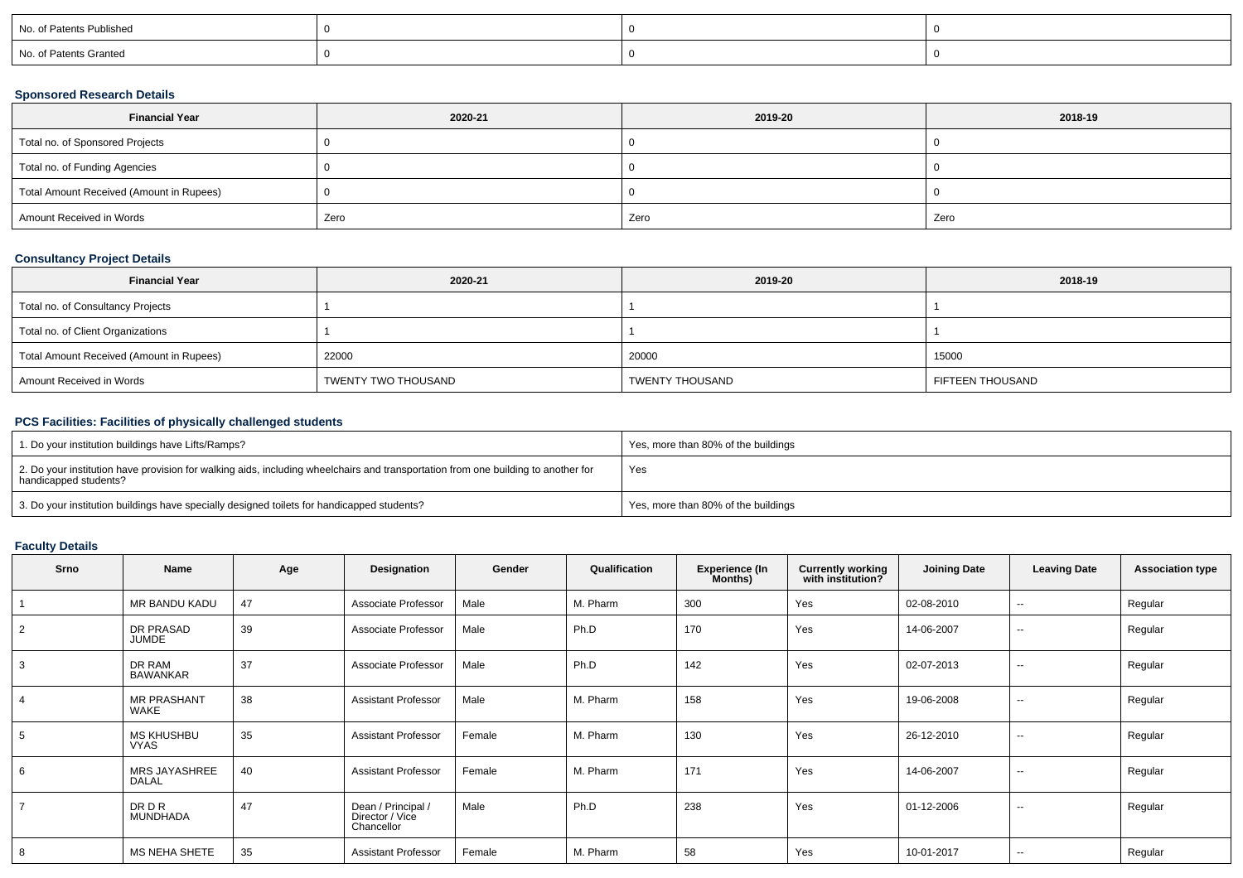| No. of Patents Published |  |  |
|--------------------------|--|--|
| No. of Patents Granted   |  |  |

### **Sponsored Research Details**

| <b>Financial Year</b>                    | 2020-21 | 2019-20 | 2018-19 |
|------------------------------------------|---------|---------|---------|
| Total no. of Sponsored Projects          |         |         |         |
| Total no. of Funding Agencies            |         |         |         |
| Total Amount Received (Amount in Rupees) |         |         |         |
| Amount Received in Words                 | Zero    | Zero    | Zero    |

### **Consultancy Project Details**

| <b>Financial Year</b>                    | 2020-21             | 2019-20         | 2018-19          |
|------------------------------------------|---------------------|-----------------|------------------|
| Total no. of Consultancy Projects        |                     |                 |                  |
| Total no. of Client Organizations        |                     |                 |                  |
| Total Amount Received (Amount in Rupees) | 22000               | 20000           | 15000            |
| Amount Received in Words                 | TWENTY TWO THOUSAND | TWENTY THOUSAND | FIFTEEN THOUSAND |

## **PCS Facilities: Facilities of physically challenged students**

| 1. Do your institution buildings have Lifts/Ramps?                                                                                                         | Yes, more than 80% of the buildings |
|------------------------------------------------------------------------------------------------------------------------------------------------------------|-------------------------------------|
| 2. Do your institution have provision for walking aids, including wheelchairs and transportation from one building to another for<br>handicapped students? | Yes                                 |
| 3. Do your institution buildings have specially designed toilets for handicapped students?                                                                 | Yes, more than 80% of the buildings |

# **Faculty Details**

| Srno | Name                             | Age | Designation                                         | Gender | Qualification | <b>Experience (In</b><br>Months) | <b>Currently working</b><br>with institution? | <b>Joining Date</b> | <b>Leaving Date</b> | <b>Association type</b> |
|------|----------------------------------|-----|-----------------------------------------------------|--------|---------------|----------------------------------|-----------------------------------------------|---------------------|---------------------|-------------------------|
|      | MR BANDU KADU                    | 47  | Associate Professor                                 | Male   | M. Pharm      | 300                              | Yes                                           | 02-08-2010          | --                  | Regular                 |
| 2    | DR PRASAD<br><b>JUMDE</b>        | 39  | Associate Professor                                 | Male   | Ph.D          | 170                              | Yes                                           | 14-06-2007          | $\sim$              | Regular                 |
| 3    | DR RAM<br><b>BAWANKAR</b>        | 37  | Associate Professor                                 | Male   | Ph.D          | 142                              | Yes                                           | 02-07-2013          | $\sim$              | Regular                 |
|      | <b>MR PRASHANT</b><br>WAKE       | 38  | <b>Assistant Professor</b>                          | Male   | M. Pharm      | 158                              | Yes                                           | 19-06-2008          | $\sim$              | Regular                 |
| 5    | <b>MS KHUSHBU</b><br><b>VYAS</b> | 35  | <b>Assistant Professor</b>                          | Female | M. Pharm      | 130                              | Yes                                           | 26-12-2010          | $\sim$              | Regular                 |
| 6    | MRS JAYASHREE<br><b>DALAL</b>    | 40  | <b>Assistant Professor</b>                          | Female | M. Pharm      | 171                              | Yes                                           | 14-06-2007          | $\sim$              | Regular                 |
|      | <b>DRDR</b><br>MUNDHADA          | 47  | Dean / Principal /<br>Director / Vice<br>Chancellor | Male   | Ph.D          | 238                              | Yes                                           | 01-12-2006          | $\sim$              | Regular                 |
| 8    | <b>MS NEHA SHETE</b>             | 35  | <b>Assistant Professor</b>                          | Female | M. Pharm      | 58                               | Yes                                           | 10-01-2017          | $\sim$              | Regular                 |